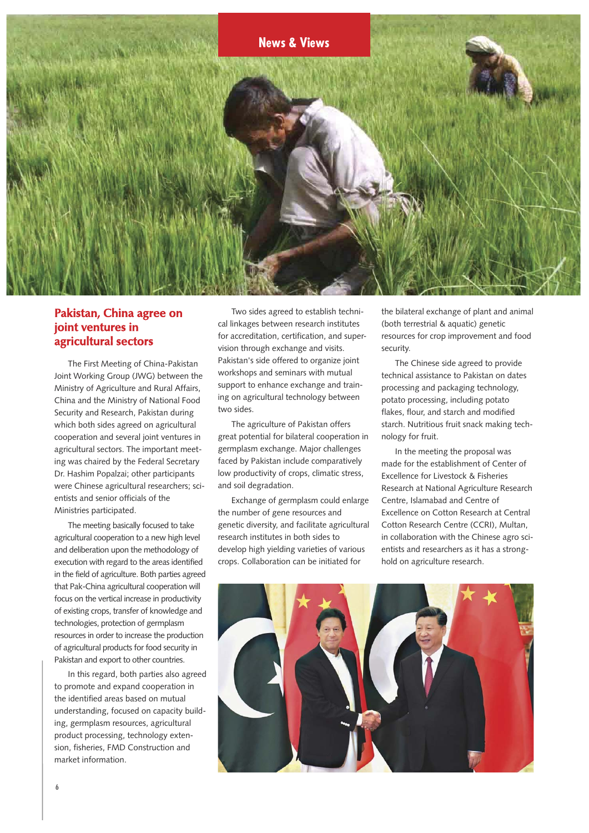

### **Pakistan, China agree on joint ventures in agricultural sectors**

The First Meeting of China-Pakistan Joint Working Group (JWG) between the Ministry of Agriculture and Rural Affairs, China and the Ministry of National Food Security and Research, Pakistan during which both sides agreed on agricultural cooperation and several joint ventures in agricultural sectors. The important meeting was chaired by the Federal Secretary Dr. Hashim Popalzai; other participants were Chinese agricultural researchers; scientists and senior officials of the Ministries participated.

The meeting basically focused to take agricultural cooperation to a new high level and deliberation upon the methodology of execution with regard to the areas identified in the field of agriculture. Both parties agreed that Pak-China agricultural cooperation will focus on the vertical increase in productivity of existing crops, transfer of knowledge and technologies, protection of germplasm resources in order to increase the production of agricultural products for food security in Pakistan and export to other countries.

In this regard, both parties also agreed to promote and expand cooperation in the identified areas based on mutual understanding, focused on capacity building, germplasm resources, agricultural product processing, technology extension, fisheries, FMD Construction and market information.

Two sides agreed to establish technical linkages between research institutes for accreditation, certification, and supervision through exchange and visits. Pakistan's side offered to organize joint workshops and seminars with mutual support to enhance exchange and training on agricultural technology between two sides.

The agriculture of Pakistan offers great potential for bilateral cooperation in germplasm exchange. Major challenges faced by Pakistan include comparatively low productivity of crops, climatic stress, and soil degradation.

Exchange of germplasm could enlarge the number of gene resources and genetic diversity, and facilitate agricultural research institutes in both sides to develop high yielding varieties of various crops. Collaboration can be initiated for

the bilateral exchange of plant and animal (both terrestrial & aquatic) genetic resources for crop improvement and food security.

The Chinese side agreed to provide technical assistance to Pakistan on dates processing and packaging technology, potato processing, including potato flakes, flour, and starch and modified starch. Nutritious fruit snack making technology for fruit.

In the meeting the proposal was made for the establishment of Center of Excellence for Livestock & Fisheries Research at National Agriculture Research Centre, Islamabad and Centre of Excellence on Cotton Research at Central Cotton Research Centre (CCRI), Multan, in collaboration with the Chinese agro scientists and researchers as it has a stronghold on agriculture research.

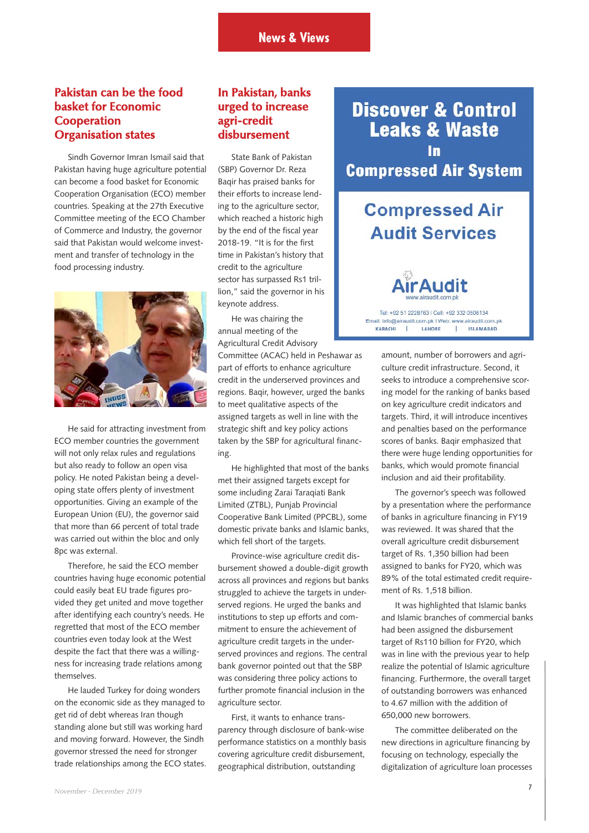# **Pakistan can be the food basket for Economic Cooperation Organisation states**

Sindh Governor Imran Ismail said that Pakistan having huge agriculture potential can become a food basket for Economic Cooperation Organisation (ECO) member countries. Speaking at the 27th Executive Committee meeting of the ECO Chamber of Commerce and Industry, the governor said that Pakistan would welcome investment and transfer of technology in the food processing industry.



He said for attracting investment from ECO member countries the government will not only relax rules and regulations but also ready to follow an open visa policy. He noted Pakistan being a developing state offers plenty of investment opportunities. Giving an example of the European Union (EU), the governor said that more than 66 percent of total trade was carried out within the bloc and only 8pc was external.

Therefore, he said the ECO member countries having huge economic potential could easily beat EU trade figures provided they get united and move together after identifying each country's needs. He regretted that most of the ECO member countries even today look at the West despite the fact that there was a willingness for increasing trade relations among themselves.

He lauded Turkey for doing wonders on the economic side as they managed to get rid of debt whereas Iran though standing alone but still was working hard and moving forward. However, the Sindh governor stressed the need for stronger trade relationships among the ECO states.

# **In Pakistan, banks urged to increase agri-credit disbursement**

State Bank of Pakistan (SBP) Governor Dr. Reza Baqir has praised banks for their efforts to increase lending to the agriculture sector, which reached a historic high by the end of the fiscal year 2018-19. "It is for the first time in Pakistan's history that credit to the agriculture sector has surpassed Rs1 trillion," said the governor in his keynote address.

He was chairing the annual meeting of the Agricultural Credit Advisory

Committee (ACAC) held in Peshawar as part of efforts to enhance agriculture credit in the underserved provinces and regions. Baqir, however, urged the banks to meet qualitative aspects of the assigned targets as well in line with the strategic shift and key policy actions taken by the SBP for agricultural financing.

He highlighted that most of the banks met their assigned targets except for some including Zarai Taraqiati Bank Limited (ZTBL), Punjab Provincial Cooperative Bank Limited (PPCBL), some domestic private banks and Islamic banks, which fell short of the targets.

Province-wise agriculture credit disbursement showed a double-digit growth across all provinces and regions but banks struggled to achieve the targets in underserved regions. He urged the banks and institutions to step up efforts and commitment to ensure the achievement of agriculture credit targets in the underserved provinces and regions. The central bank governor pointed out that the SBP was considering three policy actions to further promote financial inclusion in the agriculture sector.

First, it wants to enhance transparency through disclosure of bank-wise performance statistics on a monthly basis covering agriculture credit disbursement, geographical distribution, outstanding

**Discover & Control Leaks & Waste Compressed Air System** 

# **Compressed Air Audit Services**

Tel: +92.51.2228763 | Cell: +92.332.0506134 Email: info@airaudit.com.pk | Web: www.airaudit.com.pk LAHORE **ISLAMABAD** KARACHI  $\mathbf{I}$ T.

> amount, number of borrowers and agriculture credit infrastructure. Second, it seeks to introduce a comprehensive scoring model for the ranking of banks based on key agriculture credit indicators and targets. Third, it will introduce incentives and penalties based on the performance scores of banks. Baqir emphasized that there were huge lending opportunities for banks, which would promote financial inclusion and aid their profitability.

> The governor's speech was followed by a presentation where the performance of banks in agriculture financing in FY19 was reviewed. It was shared that the overall agriculture credit disbursement target of Rs. 1,350 billion had been assigned to banks for FY20, which was 89% of the total estimated credit requirement of Rs. 1,518 billion.

> It was highlighted that Islamic banks and Islamic branches of commercial banks had been assigned the disbursement target of Rs110 billion for FY20, which was in line with the previous year to help realize the potential of Islamic agriculture financing. Furthermore, the overall target of outstanding borrowers was enhanced to 4.67 million with the addition of 650,000 new borrowers.

> The committee deliberated on the new directions in agriculture financing by focusing on technology, especially the digitalization of agriculture loan processes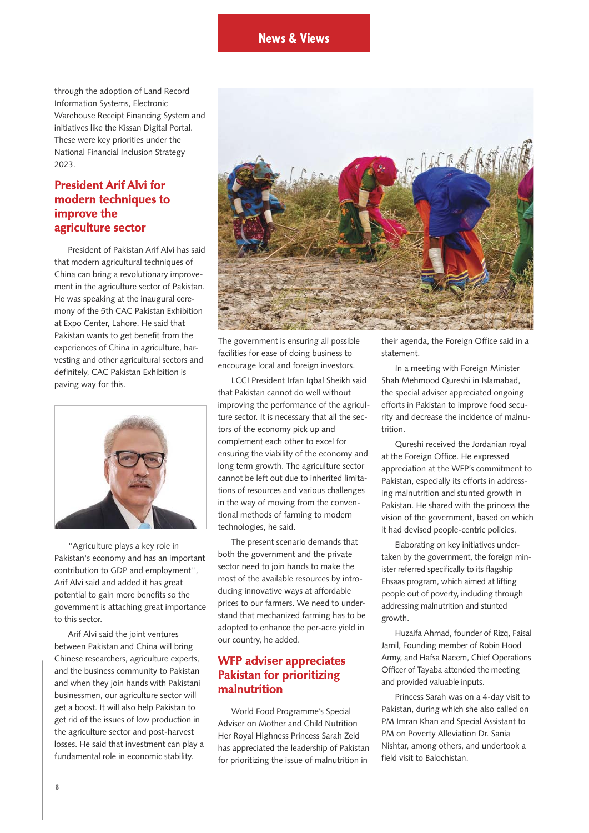through the adoption of Land Record Information Systems, Electronic Warehouse Receipt Financing System and initiatives like the Kissan Digital Portal. These were key priorities under the National Financial Inclusion Strategy 2023.

#### **President Arif Alvi for modern techniques to improve the agriculture sector**

President of Pakistan Arif Alvi has said that modern agricultural techniques of China can bring a revolutionary improvement in the agriculture sector of Pakistan. He was speaking at the inaugural ceremony of the 5th CAC Pakistan Exhibition at Expo Center, Lahore. He said that Pakistan wants to get benefit from the experiences of China in agriculture, harvesting and other agricultural sectors and definitely, CAC Pakistan Exhibition is paving way for this.



"Agriculture plays a key role in Pakistan's economy and has an important contribution to GDP and employment", Arif Alvi said and added it has great potential to gain more benefits so the government is attaching great importance to this sector.

Arif Alvi said the joint ventures between Pakistan and China will bring Chinese researchers, agriculture experts, and the business community to Pakistan and when they join hands with Pakistani businessmen, our agriculture sector will get a boost. It will also help Pakistan to get rid of the issues of low production in the agriculture sector and post-harvest losses. He said that investment can play a fundamental role in economic stability.



The government is ensuring all possible facilities for ease of doing business to encourage local and foreign investors.

LCCI President Irfan Iqbal Sheikh said that Pakistan cannot do well without improving the performance of the agriculture sector. It is necessary that all the sectors of the economy pick up and complement each other to excel for ensuring the viability of the economy and long term growth. The agriculture sector cannot be left out due to inherited limitations of resources and various challenges in the way of moving from the conventional methods of farming to modern technologies, he said.

The present scenario demands that both the government and the private sector need to join hands to make the most of the available resources by introducing innovative ways at affordable prices to our farmers. We need to understand that mechanized farming has to be adopted to enhance the per-acre yield in our country, he added.

#### **WFP adviser appreciates Pakistan for prioritizing malnutrition**

World Food Programme's Special Adviser on Mother and Child Nutrition Her Royal Highness Princess Sarah Zeid has appreciated the leadership of Pakistan for prioritizing the issue of malnutrition in

their agenda, the Foreign Office said in a statement.

In a meeting with Foreign Minister Shah Mehmood Qureshi in Islamabad, the special adviser appreciated ongoing efforts in Pakistan to improve food security and decrease the incidence of malnutrition.

Qureshi received the Jordanian royal at the Foreign Office. He expressed appreciation at the WFP's commitment to Pakistan, especially its efforts in addressing malnutrition and stunted growth in Pakistan. He shared with the princess the vision of the government, based on which it had devised people-centric policies.

Elaborating on key initiatives undertaken by the government, the foreign minister referred specifically to its flagship Ehsaas program, which aimed at lifting people out of poverty, including through addressing malnutrition and stunted growth.

Huzaifa Ahmad, founder of Rizq, Faisal Jamil, Founding member of Robin Hood Army, and Hafsa Naeem, Chief Operations Officer of Tayaba attended the meeting and provided valuable inputs.

Princess Sarah was on a 4-day visit to Pakistan, during which she also called on PM Imran Khan and Special Assistant to PM on Poverty Alleviation Dr. Sania Nishtar, among others, and undertook a field visit to Balochistan.